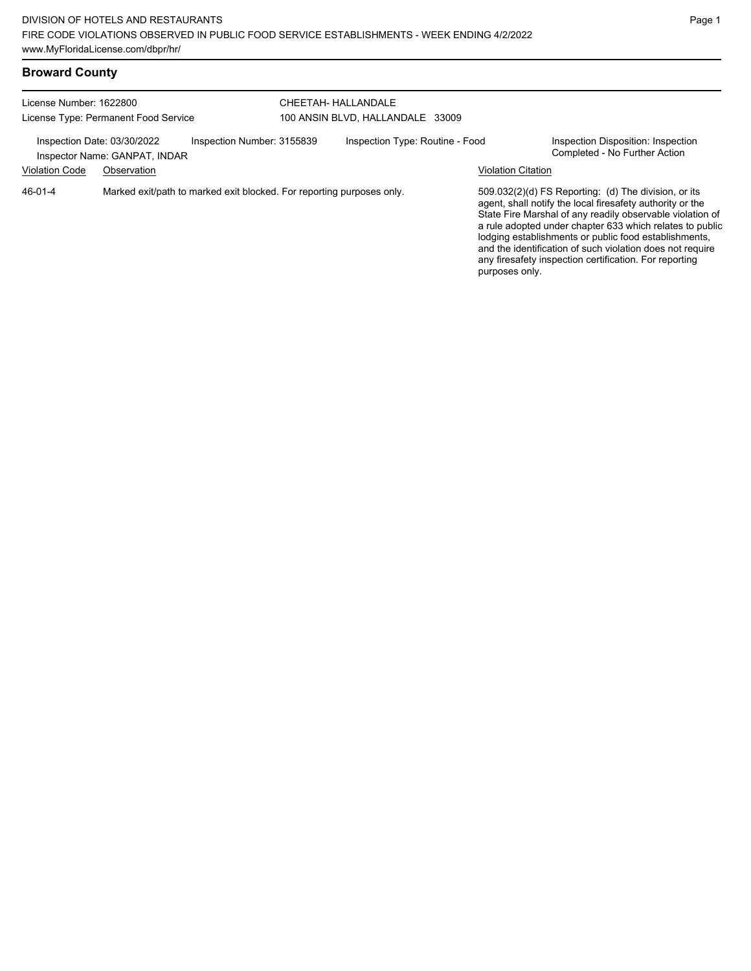| <b>Broward County</b> |  |  |  |  |
|-----------------------|--|--|--|--|
|-----------------------|--|--|--|--|

| License Number: 1622800<br>License Type: Permanent Food Service |                                                                            | CHEETAH- HALLANDALE<br>100 ANSIN BLVD, HALLANDALE 33009 |                                 |                           |                                                                                                                                                                                                                                                                                                                                                                                                                            |
|-----------------------------------------------------------------|----------------------------------------------------------------------------|---------------------------------------------------------|---------------------------------|---------------------------|----------------------------------------------------------------------------------------------------------------------------------------------------------------------------------------------------------------------------------------------------------------------------------------------------------------------------------------------------------------------------------------------------------------------------|
| Inspection Date: 03/30/2022<br><b>Violation Code</b>            | Inspection Number: 3155839<br>Inspector Name: GANPAT, INDAR<br>Observation |                                                         | Inspection Type: Routine - Food | <b>Violation Citation</b> | Inspection Disposition: Inspection<br>Completed - No Further Action                                                                                                                                                                                                                                                                                                                                                        |
| $46 - 01 - 4$                                                   | Marked exit/path to marked exit blocked. For reporting purposes only.      |                                                         |                                 | purposes only.            | 509.032(2)(d) FS Reporting: (d) The division, or its<br>agent, shall notify the local firesafety authority or the<br>State Fire Marshal of any readily observable violation of<br>a rule adopted under chapter 633 which relates to public<br>lodging establishments or public food establishments,<br>and the identification of such violation does not require<br>any firesafety inspection certification. For reporting |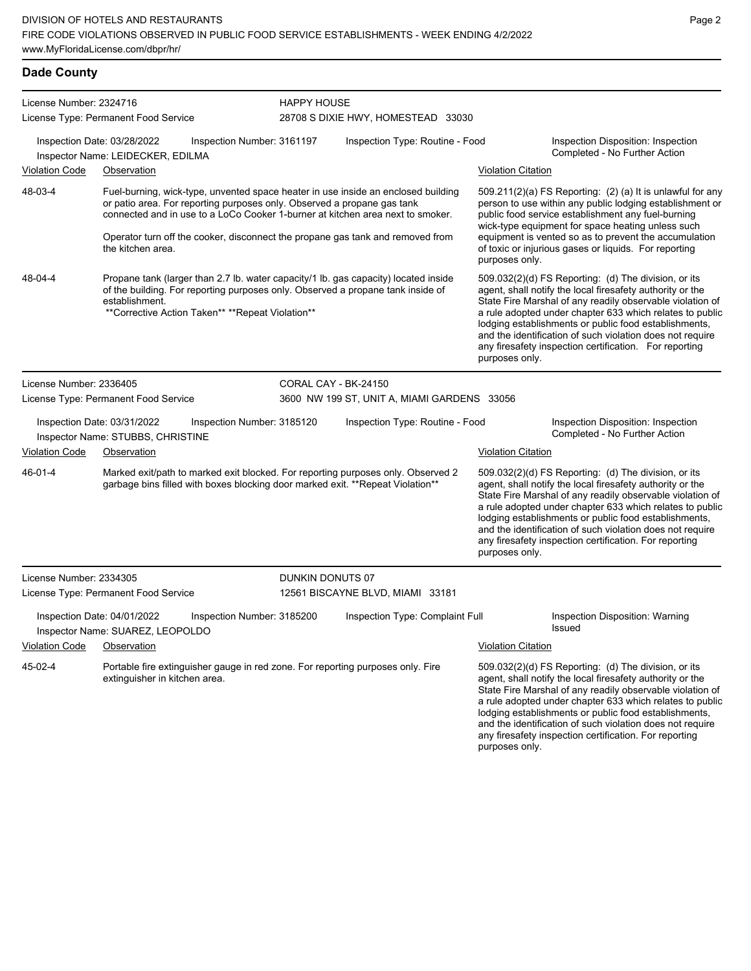### **Dade County**

| License Number: 2324716 |                                                                                                                                                                                                                                                                                                                                                       | <b>HAPPY HOUSE</b>         |                                             |                           |                                                                                                                                                                                                                                                                                                                                                                                                                            |
|-------------------------|-------------------------------------------------------------------------------------------------------------------------------------------------------------------------------------------------------------------------------------------------------------------------------------------------------------------------------------------------------|----------------------------|---------------------------------------------|---------------------------|----------------------------------------------------------------------------------------------------------------------------------------------------------------------------------------------------------------------------------------------------------------------------------------------------------------------------------------------------------------------------------------------------------------------------|
|                         | License Type: Permanent Food Service                                                                                                                                                                                                                                                                                                                  |                            | 28708 S DIXIE HWY, HOMESTEAD 33030          |                           |                                                                                                                                                                                                                                                                                                                                                                                                                            |
|                         | Inspection Date: 03/28/2022<br>Inspector Name: LEIDECKER, EDILMA                                                                                                                                                                                                                                                                                      | Inspection Number: 3161197 | Inspection Type: Routine - Food             |                           | Inspection Disposition: Inspection<br>Completed - No Further Action                                                                                                                                                                                                                                                                                                                                                        |
| <b>Violation Code</b>   | Observation                                                                                                                                                                                                                                                                                                                                           |                            |                                             | <b>Violation Citation</b> |                                                                                                                                                                                                                                                                                                                                                                                                                            |
| 48-03-4                 | Fuel-burning, wick-type, unvented space heater in use inside an enclosed building<br>or patio area. For reporting purposes only. Observed a propane gas tank<br>connected and in use to a LoCo Cooker 1-burner at kitchen area next to smoker.<br>Operator turn off the cooker, disconnect the propane gas tank and removed from<br>the kitchen area. |                            |                                             | purposes only.            | $509.211(2)(a)$ FS Reporting: (2) (a) It is unlawful for any<br>person to use within any public lodging establishment or<br>public food service establishment any fuel-burning<br>wick-type equipment for space heating unless such<br>equipment is vented so as to prevent the accumulation<br>of toxic or injurious gases or liquids. For reporting                                                                      |
| 48-04-4                 | Propane tank (larger than 2.7 lb. water capacity/1 lb. gas capacity) located inside<br>of the building. For reporting purposes only. Observed a propane tank inside of<br>establishment.<br>**Corrective Action Taken** ** Repeat Violation**                                                                                                         |                            |                                             | purposes only.            | 509.032(2)(d) FS Reporting: (d) The division, or its<br>agent, shall notify the local firesafety authority or the<br>State Fire Marshal of any readily observable violation of<br>a rule adopted under chapter 633 which relates to public<br>lodging establishments or public food establishments,<br>and the identification of such violation does not require<br>any firesafety inspection certification. For reporting |
| License Number: 2336405 |                                                                                                                                                                                                                                                                                                                                                       |                            | CORAL CAY - BK-24150                        |                           |                                                                                                                                                                                                                                                                                                                                                                                                                            |
|                         | License Type: Permanent Food Service                                                                                                                                                                                                                                                                                                                  |                            | 3600 NW 199 ST, UNIT A, MIAMI GARDENS 33056 |                           |                                                                                                                                                                                                                                                                                                                                                                                                                            |
|                         | Inspection Date: 03/31/2022<br>Inspector Name: STUBBS, CHRISTINE                                                                                                                                                                                                                                                                                      | Inspection Number: 3185120 | Inspection Type: Routine - Food             |                           | Inspection Disposition: Inspection<br>Completed - No Further Action                                                                                                                                                                                                                                                                                                                                                        |
| <b>Violation Code</b>   | Observation                                                                                                                                                                                                                                                                                                                                           |                            |                                             | <b>Violation Citation</b> |                                                                                                                                                                                                                                                                                                                                                                                                                            |
| 46-01-4                 | Marked exit/path to marked exit blocked. For reporting purposes only. Observed 2<br>garbage bins filled with boxes blocking door marked exit. ** Repeat Violation**                                                                                                                                                                                   |                            |                                             | purposes only.            | 509.032(2)(d) FS Reporting: (d) The division, or its<br>agent, shall notify the local firesafety authority or the<br>State Fire Marshal of any readily observable violation of<br>a rule adopted under chapter 633 which relates to public<br>lodging establishments or public food establishments,<br>and the identification of such violation does not require<br>any firesafety inspection certification. For reporting |
| License Number: 2334305 |                                                                                                                                                                                                                                                                                                                                                       | DUNKIN DONUTS 07           |                                             |                           |                                                                                                                                                                                                                                                                                                                                                                                                                            |
|                         | License Type: Permanent Food Service                                                                                                                                                                                                                                                                                                                  |                            | 12561 BISCAYNE BLVD, MIAMI 33181            |                           |                                                                                                                                                                                                                                                                                                                                                                                                                            |
|                         | Inspection Date: 04/01/2022<br>Inspector Name: SUAREZ, LEOPOLDO                                                                                                                                                                                                                                                                                       | Inspection Number: 3185200 | Inspection Type: Complaint Full             |                           | Inspection Disposition: Warning<br>Issued                                                                                                                                                                                                                                                                                                                                                                                  |
| <b>Violation Code</b>   | Observation                                                                                                                                                                                                                                                                                                                                           |                            |                                             | <b>Violation Citation</b> |                                                                                                                                                                                                                                                                                                                                                                                                                            |
| 45-02-4                 | Portable fire extinguisher gauge in red zone. For reporting purposes only. Fire<br>extinguisher in kitchen area.                                                                                                                                                                                                                                      |                            |                                             |                           | 509.032(2)(d) FS Reporting: (d) The division, or its<br>agent, shall notify the local firesafety authority or the<br>State Fire Marshal of any readily observable violation of<br>a rule adopted under chapter 633 which relates to public<br>lodging establishments or public food establishments,<br>and the identification of such violation does not require<br>any firesafety inspection certification. For reporting |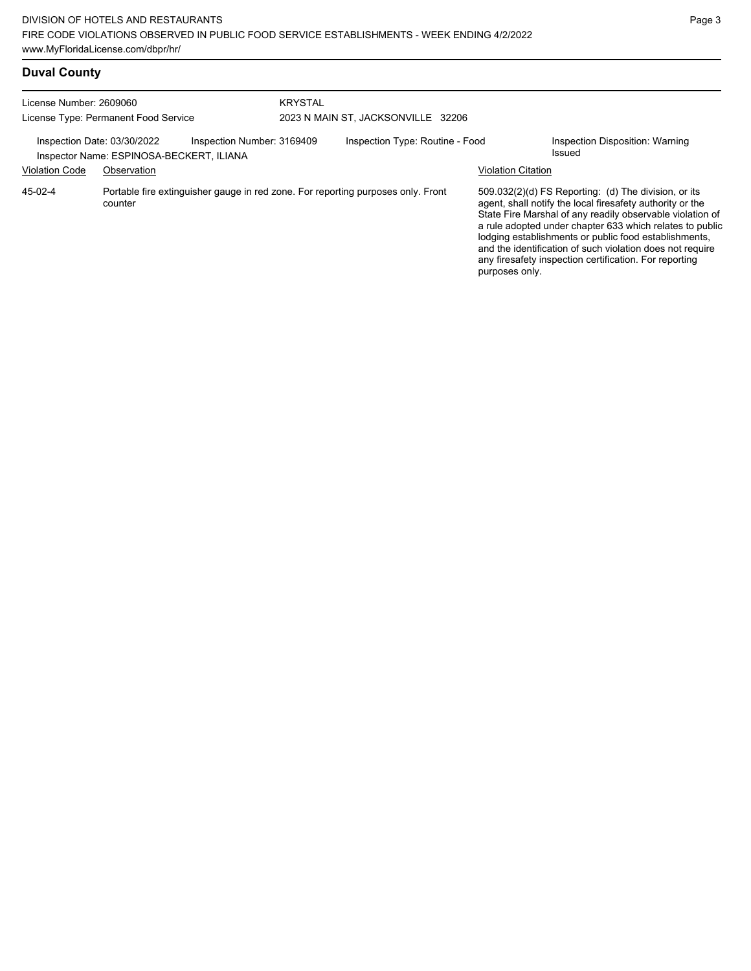| <b>Duval County</b> |  |
|---------------------|--|
|---------------------|--|

| License Number: 2609060                              | License Type: Permanent Food Service                                                        | <b>KRYSTAL</b><br>2023 N MAIN ST, JACKSONVILLE 32206 |                                 |                           |                                                                                                                                                                                                                                                                                                                                                                                                                            |
|------------------------------------------------------|---------------------------------------------------------------------------------------------|------------------------------------------------------|---------------------------------|---------------------------|----------------------------------------------------------------------------------------------------------------------------------------------------------------------------------------------------------------------------------------------------------------------------------------------------------------------------------------------------------------------------------------------------------------------------|
| Inspection Date: 03/30/2022<br><b>Violation Code</b> | Inspection Number: 3169409<br>Inspector Name: ESPINOSA-BECKERT, ILIANA<br>Observation       |                                                      | Inspection Type: Routine - Food | <b>Violation Citation</b> | Inspection Disposition: Warning<br>Issued                                                                                                                                                                                                                                                                                                                                                                                  |
| 45-02-4                                              | Portable fire extinguisher gauge in red zone. For reporting purposes only. Front<br>counter |                                                      |                                 | purposes only.            | 509.032(2)(d) FS Reporting: (d) The division, or its<br>agent, shall notify the local firesafety authority or the<br>State Fire Marshal of any readily observable violation of<br>a rule adopted under chapter 633 which relates to public<br>lodging establishments or public food establishments,<br>and the identification of such violation does not require<br>any firesafety inspection certification. For reporting |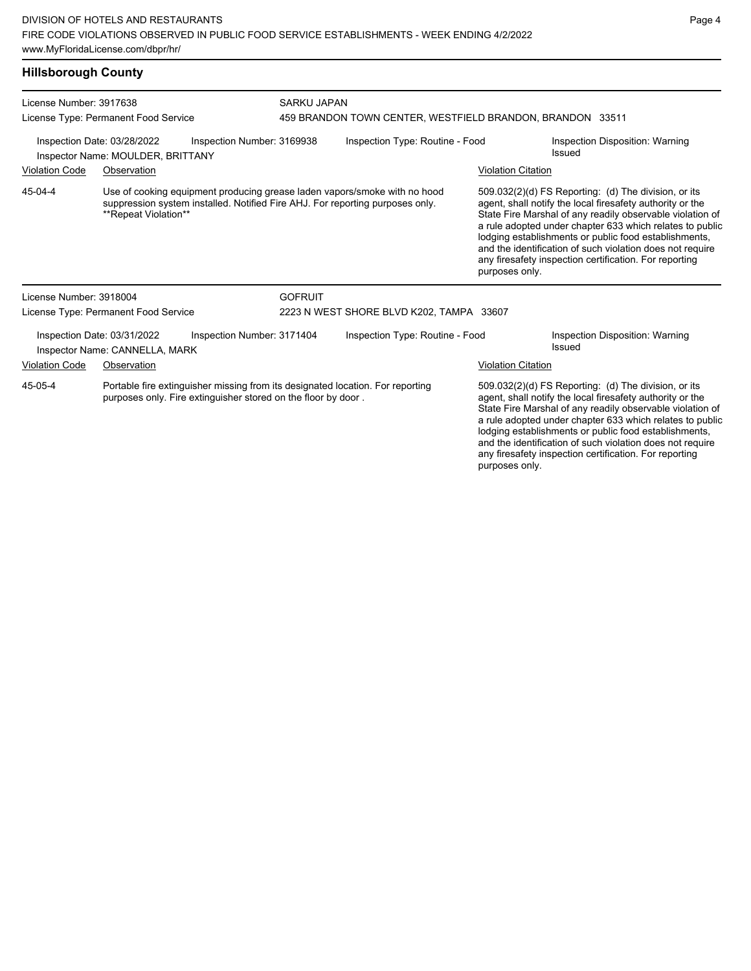#### **Hillsborough County**

| License Number: 3917638<br>License Type: Permanent Food Service                                |                                                                                                                                                 |                            | SARKU JAPAN<br>459 BRANDON TOWN CENTER, WESTFIELD BRANDON, BRANDON 33511 |                                                                                                                                                            |                                                                                                                                                                                                                                                                                                                                                                  |                                                                                                                                                                                                                                                                                                                                                                                                                            |  |
|------------------------------------------------------------------------------------------------|-------------------------------------------------------------------------------------------------------------------------------------------------|----------------------------|--------------------------------------------------------------------------|------------------------------------------------------------------------------------------------------------------------------------------------------------|------------------------------------------------------------------------------------------------------------------------------------------------------------------------------------------------------------------------------------------------------------------------------------------------------------------------------------------------------------------|----------------------------------------------------------------------------------------------------------------------------------------------------------------------------------------------------------------------------------------------------------------------------------------------------------------------------------------------------------------------------------------------------------------------------|--|
| Inspection Date: 03/28/2022<br>Inspection Number: 3169938<br>Inspector Name: MOULDER, BRITTANY |                                                                                                                                                 |                            | Inspection Type: Routine - Food                                          |                                                                                                                                                            | Inspection Disposition: Warning<br>Issued                                                                                                                                                                                                                                                                                                                        |                                                                                                                                                                                                                                                                                                                                                                                                                            |  |
| <b>Violation Code</b>                                                                          | Observation                                                                                                                                     |                            |                                                                          |                                                                                                                                                            | <b>Violation Citation</b>                                                                                                                                                                                                                                                                                                                                        |                                                                                                                                                                                                                                                                                                                                                                                                                            |  |
| 45-04-4                                                                                        | **Repeat Violation**                                                                                                                            |                            |                                                                          | Use of cooking equipment producing grease laden vapors/smoke with no hood<br>suppression system installed. Notified Fire AHJ. For reporting purposes only. | purposes only.                                                                                                                                                                                                                                                                                                                                                   | 509.032(2)(d) FS Reporting: (d) The division, or its<br>agent, shall notify the local firesafety authority or the<br>State Fire Marshal of any readily observable violation of<br>a rule adopted under chapter 633 which relates to public<br>lodging establishments or public food establishments,<br>and the identification of such violation does not require<br>any firesafety inspection certification. For reporting |  |
| License Number: 3918004                                                                        |                                                                                                                                                 |                            | <b>GOFRUIT</b>                                                           |                                                                                                                                                            |                                                                                                                                                                                                                                                                                                                                                                  |                                                                                                                                                                                                                                                                                                                                                                                                                            |  |
|                                                                                                | License Type: Permanent Food Service                                                                                                            |                            |                                                                          | 2223 N WEST SHORE BLVD K202, TAMPA 33607                                                                                                                   |                                                                                                                                                                                                                                                                                                                                                                  |                                                                                                                                                                                                                                                                                                                                                                                                                            |  |
|                                                                                                | Inspection Date: 03/31/2022<br>Inspector Name: CANNELLA, MARK                                                                                   | Inspection Number: 3171404 |                                                                          | Inspection Type: Routine - Food                                                                                                                            |                                                                                                                                                                                                                                                                                                                                                                  | Inspection Disposition: Warning<br>Issued                                                                                                                                                                                                                                                                                                                                                                                  |  |
| <b>Violation Code</b>                                                                          | Observation                                                                                                                                     |                            |                                                                          |                                                                                                                                                            | <b>Violation Citation</b>                                                                                                                                                                                                                                                                                                                                        |                                                                                                                                                                                                                                                                                                                                                                                                                            |  |
| 45-05-4                                                                                        | Portable fire extinguisher missing from its designated location. For reporting<br>purposes only. Fire extinguisher stored on the floor by door. |                            |                                                                          |                                                                                                                                                            | 509.032(2)(d) FS Reporting: (d) The division, or its<br>agent, shall notify the local firesafety authority or the<br>State Fire Marshal of any readily observable violation of<br>a rule adopted under chapter 633 which relates to public<br>lodging establishments or public food establishments,<br>and the identification of such violation does not require |                                                                                                                                                                                                                                                                                                                                                                                                                            |  |

any firesafety inspection certification. For reporting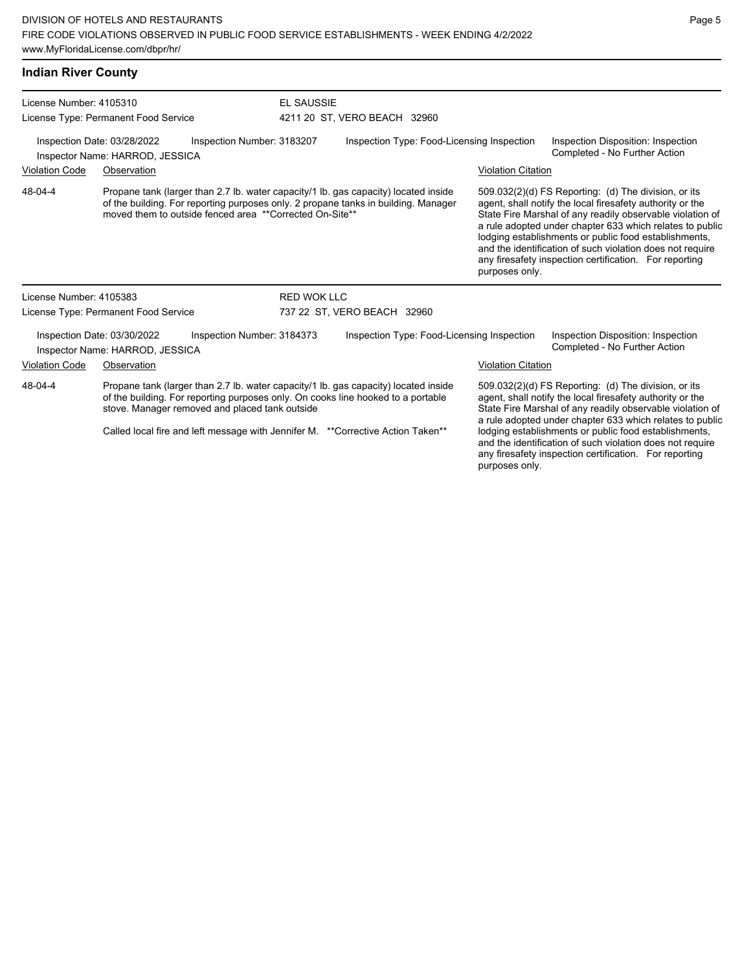| <b>Indian River County</b>                                |                                                                                              |                                                                                                                                                                           |                           |                                                                                                                                                                                                                                                                                                                                                                                                                            |  |
|-----------------------------------------------------------|----------------------------------------------------------------------------------------------|---------------------------------------------------------------------------------------------------------------------------------------------------------------------------|---------------------------|----------------------------------------------------------------------------------------------------------------------------------------------------------------------------------------------------------------------------------------------------------------------------------------------------------------------------------------------------------------------------------------------------------------------------|--|
| License Number: 4105310                                   | License Type: Permanent Food Service                                                         | <b>EL SAUSSIE</b><br>4211 20 ST, VERO BEACH 32960                                                                                                                         |                           |                                                                                                                                                                                                                                                                                                                                                                                                                            |  |
|                                                           | Inspection Date: 03/28/2022<br>Inspection Number: 3183207<br>Inspector Name: HARROD, JESSICA | Inspection Type: Food-Licensing Inspection                                                                                                                                |                           | Inspection Disposition: Inspection<br>Completed - No Further Action                                                                                                                                                                                                                                                                                                                                                        |  |
| <b>Violation Code</b>                                     | Observation                                                                                  |                                                                                                                                                                           | <b>Violation Citation</b> |                                                                                                                                                                                                                                                                                                                                                                                                                            |  |
| 48-04-4                                                   | moved them to outside fenced area **Corrected On-Site**                                      | Propane tank (larger than 2.7 lb. water capacity/1 lb. gas capacity) located inside<br>of the building. For reporting purposes only. 2 propane tanks in building. Manager | purposes only.            | 509.032(2)(d) FS Reporting: (d) The division, or its<br>agent, shall notify the local firesafety authority or the<br>State Fire Marshal of any readily observable violation of<br>a rule adopted under chapter 633 which relates to public<br>lodging establishments or public food establishments,<br>and the identification of such violation does not require<br>any firesafety inspection certification. For reporting |  |
| License Number: 4105383                                   |                                                                                              | <b>RED WOK LLC</b>                                                                                                                                                        |                           |                                                                                                                                                                                                                                                                                                                                                                                                                            |  |
|                                                           | License Type: Permanent Food Service                                                         | 737 22 ST, VERO BEACH 32960                                                                                                                                               |                           |                                                                                                                                                                                                                                                                                                                                                                                                                            |  |
|                                                           | Inspection Date: 03/30/2022<br>Inspection Number: 3184373<br>Inspector Name: HARROD, JESSICA | Inspection Type: Food-Licensing Inspection                                                                                                                                |                           | Inspection Disposition: Inspection<br>Completed - No Further Action                                                                                                                                                                                                                                                                                                                                                        |  |
| <b>Violation Code</b>                                     | Observation                                                                                  |                                                                                                                                                                           | <b>Violation Citation</b> |                                                                                                                                                                                                                                                                                                                                                                                                                            |  |
| 48-04-4<br>stove. Manager removed and placed tank outside |                                                                                              | Propane tank (larger than 2.7 lb. water capacity/1 lb. gas capacity) located inside<br>of the building. For reporting purposes only. On cooks line hooked to a portable   |                           | 509.032(2)(d) FS Reporting: (d) The division, or its<br>agent, shall notify the local firesafety authority or the<br>State Fire Marshal of any readily observable violation of<br>a rule adopted under chapter 633 which relates to public                                                                                                                                                                                 |  |
|                                                           |                                                                                              | Called local fire and left message with Jennifer M. ** Corrective Action Taken**                                                                                          |                           | lodging establishments or public food establishments,<br>and the identification of such violation does not require                                                                                                                                                                                                                                                                                                         |  |

any firesafety inspection certification. For reporting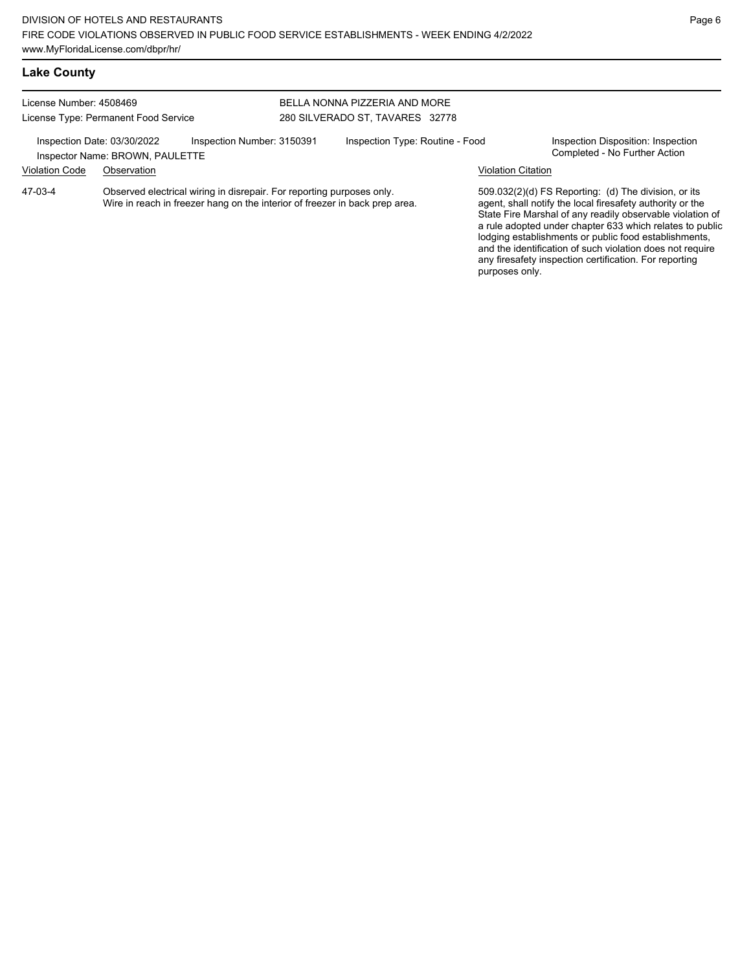and the identification of such violation does not require any firesafety inspection certification. For reporting

purposes only.

# **Lake County**

| License Number: 4508469<br>License Type: Permanent Food Service |                                                                | BELLA NONNA PIZZERIA AND MORE<br>280 SILVERADO ST, TAVARES 32778                                                                                     |  |                                 |                           |                                                                                                                                                                                                                                                                                                     |
|-----------------------------------------------------------------|----------------------------------------------------------------|------------------------------------------------------------------------------------------------------------------------------------------------------|--|---------------------------------|---------------------------|-----------------------------------------------------------------------------------------------------------------------------------------------------------------------------------------------------------------------------------------------------------------------------------------------------|
|                                                                 | Inspection Date: 03/30/2022<br>Inspector Name: BROWN, PAULETTE | Inspection Number: 3150391                                                                                                                           |  | Inspection Type: Routine - Food |                           | Inspection Disposition: Inspection<br>Completed - No Further Action                                                                                                                                                                                                                                 |
| <b>Violation Code</b>                                           | Observation                                                    |                                                                                                                                                      |  |                                 | <b>Violation Citation</b> |                                                                                                                                                                                                                                                                                                     |
| 47-03-4                                                         |                                                                | Observed electrical wiring in disrepair. For reporting purposes only.<br>Wire in reach in freezer hang on the interior of freezer in back prep area. |  |                                 |                           | 509.032(2)(d) FS Reporting: (d) The division, or its<br>agent, shall notify the local firesafety authority or the<br>State Fire Marshal of any readily observable violation of<br>a rule adopted under chapter 633 which relates to public<br>lodging establishments or public food establishments, |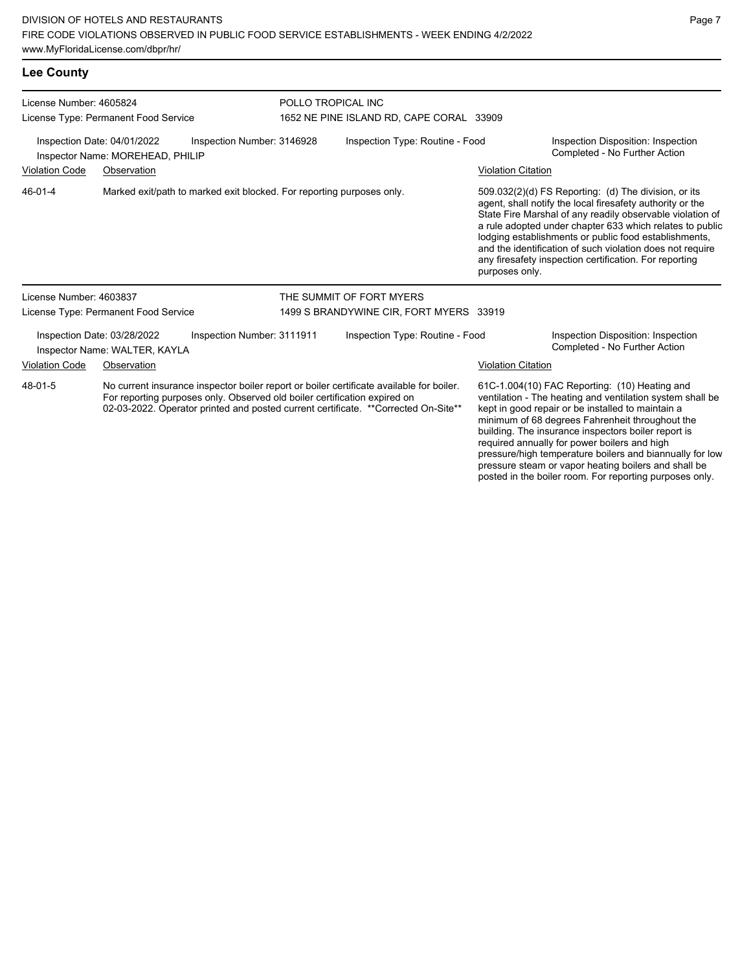| <b>Lee County</b>                                                                                 |                                                              |                                                                             |  |                                                                                                                                                                                |                                                                     |                                                                                                                                                                                                                                                                                                                                                                                                                            |  |  |
|---------------------------------------------------------------------------------------------------|--------------------------------------------------------------|-----------------------------------------------------------------------------|--|--------------------------------------------------------------------------------------------------------------------------------------------------------------------------------|---------------------------------------------------------------------|----------------------------------------------------------------------------------------------------------------------------------------------------------------------------------------------------------------------------------------------------------------------------------------------------------------------------------------------------------------------------------------------------------------------------|--|--|
| License Number: 4605824                                                                           |                                                              |                                                                             |  | POLLO TROPICAL INC                                                                                                                                                             |                                                                     |                                                                                                                                                                                                                                                                                                                                                                                                                            |  |  |
| License Type: Permanent Food Service<br>Inspection Date: 04/01/2022<br>Inspection Number: 3146928 |                                                              | 1652 NE PINE ISLAND RD, CAPE CORAL 33909<br>Inspection Type: Routine - Food |  |                                                                                                                                                                                | Inspection Disposition: Inspection<br>Completed - No Further Action |                                                                                                                                                                                                                                                                                                                                                                                                                            |  |  |
| <b>Violation Code</b>                                                                             | Inspector Name: MOREHEAD, PHILIP<br>Observation              |                                                                             |  |                                                                                                                                                                                | <b>Violation Citation</b>                                           |                                                                                                                                                                                                                                                                                                                                                                                                                            |  |  |
| 46-01-4                                                                                           |                                                              | Marked exit/path to marked exit blocked. For reporting purposes only.       |  |                                                                                                                                                                                | purposes only.                                                      | 509.032(2)(d) FS Reporting: (d) The division, or its<br>agent, shall notify the local firesafety authority or the<br>State Fire Marshal of any readily observable violation of<br>a rule adopted under chapter 633 which relates to public<br>lodging establishments or public food establishments,<br>and the identification of such violation does not require<br>any firesafety inspection certification. For reporting |  |  |
| License Number: 4603837                                                                           |                                                              |                                                                             |  | THE SUMMIT OF FORT MYERS                                                                                                                                                       |                                                                     |                                                                                                                                                                                                                                                                                                                                                                                                                            |  |  |
|                                                                                                   | License Type: Permanent Food Service                         |                                                                             |  | 1499 S BRANDYWINE CIR, FORT MYERS 33919                                                                                                                                        |                                                                     |                                                                                                                                                                                                                                                                                                                                                                                                                            |  |  |
|                                                                                                   | Inspection Date: 03/28/2022<br>Inspector Name: WALTER, KAYLA | Inspection Number: 3111911                                                  |  | Inspection Type: Routine - Food                                                                                                                                                |                                                                     | Inspection Disposition: Inspection<br>Completed - No Further Action                                                                                                                                                                                                                                                                                                                                                        |  |  |
| <b>Violation Code</b>                                                                             | Observation                                                  |                                                                             |  |                                                                                                                                                                                | <b>Violation Citation</b>                                           |                                                                                                                                                                                                                                                                                                                                                                                                                            |  |  |
| 48-01-5                                                                                           |                                                              | For reporting purposes only. Observed old boiler certification expired on   |  | No current insurance inspector boiler report or boiler certificate available for boiler.<br>02-03-2022. Operator printed and posted current certificate. **Corrected On-Site** |                                                                     | 61C-1.004(10) FAC Reporting: (10) Heating and<br>ventilation - The heating and ventilation system shall be<br>kept in good repair or be installed to maintain a<br>minimum of 68 degrees Fahrenheit throughout the                                                                                                                                                                                                         |  |  |

Page 7

building. The insurance inspectors boiler report is required annually for power boilers and high

pressure/high temperature boilers and biannually for low pressure steam or vapor heating boilers and shall be posted in the boiler room. For reporting purposes only.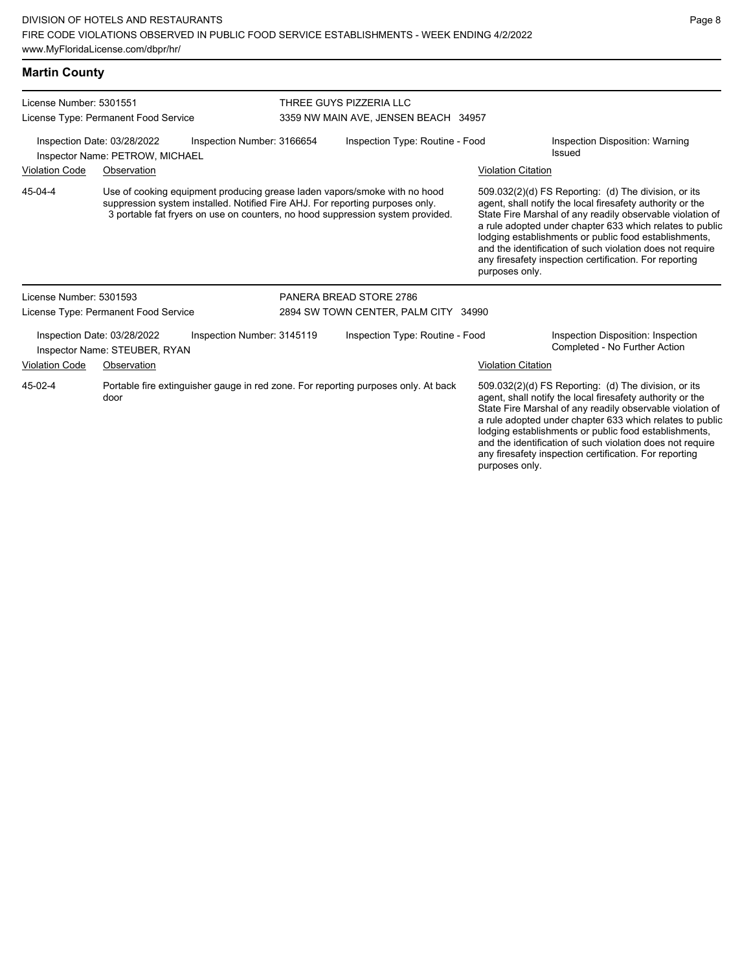| <b>Martin County</b>    |                                                                |                            |                                                                                                                                                                                                                                              |                           |                                                                                                                                                                                                                                                                                                                                                                                                                            |
|-------------------------|----------------------------------------------------------------|----------------------------|----------------------------------------------------------------------------------------------------------------------------------------------------------------------------------------------------------------------------------------------|---------------------------|----------------------------------------------------------------------------------------------------------------------------------------------------------------------------------------------------------------------------------------------------------------------------------------------------------------------------------------------------------------------------------------------------------------------------|
| License Number: 5301551 | License Type: Permanent Food Service                           |                            | THREE GUYS PIZZERIA LLC<br>3359 NW MAIN AVE, JENSEN BEACH 34957                                                                                                                                                                              |                           |                                                                                                                                                                                                                                                                                                                                                                                                                            |
|                         | Inspection Date: 03/28/2022<br>Inspector Name: PETROW, MICHAEL | Inspection Number: 3166654 | Inspection Type: Routine - Food                                                                                                                                                                                                              |                           | Inspection Disposition: Warning<br>Issued                                                                                                                                                                                                                                                                                                                                                                                  |
| <b>Violation Code</b>   | Observation                                                    |                            |                                                                                                                                                                                                                                              | <b>Violation Citation</b> |                                                                                                                                                                                                                                                                                                                                                                                                                            |
| 45-04-4                 |                                                                |                            | Use of cooking equipment producing grease laden vapors/smoke with no hood<br>suppression system installed. Notified Fire AHJ. For reporting purposes only.<br>3 portable fat fryers on use on counters, no hood suppression system provided. | purposes only.            | 509.032(2)(d) FS Reporting: (d) The division, or its<br>agent, shall notify the local firesafety authority or the<br>State Fire Marshal of any readily observable violation of<br>a rule adopted under chapter 633 which relates to public<br>lodging establishments or public food establishments,<br>and the identification of such violation does not require<br>any firesafety inspection certification. For reporting |
| License Number: 5301593 |                                                                |                            | PANERA BREAD STORE 2786                                                                                                                                                                                                                      |                           |                                                                                                                                                                                                                                                                                                                                                                                                                            |
|                         | License Type: Permanent Food Service                           |                            | 2894 SW TOWN CENTER, PALM CITY 34990                                                                                                                                                                                                         |                           |                                                                                                                                                                                                                                                                                                                                                                                                                            |
|                         | Inspection Date: 03/28/2022<br>Inspector Name: STEUBER, RYAN   | Inspection Number: 3145119 | Inspection Type: Routine - Food                                                                                                                                                                                                              |                           | Inspection Disposition: Inspection<br>Completed - No Further Action                                                                                                                                                                                                                                                                                                                                                        |
| <b>Violation Code</b>   | Observation                                                    |                            |                                                                                                                                                                                                                                              | <b>Violation Citation</b> |                                                                                                                                                                                                                                                                                                                                                                                                                            |
| 45-02-4                 | door                                                           |                            | Portable fire extinguisher gauge in red zone. For reporting purposes only. At back                                                                                                                                                           |                           | 509.032(2)(d) FS Reporting: (d) The division, or its<br>agent, shall notify the local firesafety authority or the<br>State Fire Marshal of any readily observable violation of<br>a rule adopted under chapter 633 which relates to public<br>lodging establishments or public food establishments,<br>and the identification of such violation does not require                                                           |

any firesafety inspection certification. For reporting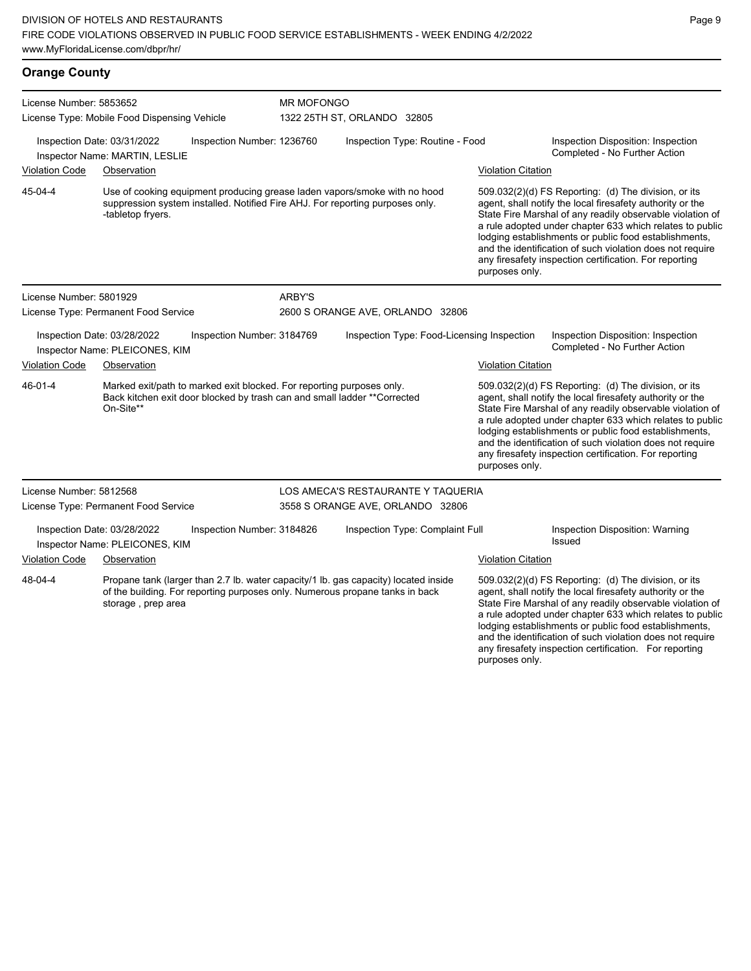| <b>Orange County</b> |  |
|----------------------|--|
|----------------------|--|

| License Number: 5853652                                                                                                                                                    |                                                               |                            | <b>MR MOFONGO</b> |                                                                                                                                                                                                                                                                                                                                                                                                                            |                           |                                                                                                                                                                                                                                                                                                                                                                                                                            |  |  |
|----------------------------------------------------------------------------------------------------------------------------------------------------------------------------|---------------------------------------------------------------|----------------------------|-------------------|----------------------------------------------------------------------------------------------------------------------------------------------------------------------------------------------------------------------------------------------------------------------------------------------------------------------------------------------------------------------------------------------------------------------------|---------------------------|----------------------------------------------------------------------------------------------------------------------------------------------------------------------------------------------------------------------------------------------------------------------------------------------------------------------------------------------------------------------------------------------------------------------------|--|--|
| License Type: Mobile Food Dispensing Vehicle                                                                                                                               |                                                               |                            |                   | 1322 25TH ST, ORLANDO 32805                                                                                                                                                                                                                                                                                                                                                                                                |                           |                                                                                                                                                                                                                                                                                                                                                                                                                            |  |  |
|                                                                                                                                                                            | Inspection Date: 03/31/2022<br>Inspector Name: MARTIN, LESLIE | Inspection Number: 1236760 |                   | Inspection Type: Routine - Food                                                                                                                                                                                                                                                                                                                                                                                            |                           | Inspection Disposition: Inspection<br>Completed - No Further Action                                                                                                                                                                                                                                                                                                                                                        |  |  |
| <b>Violation Code</b>                                                                                                                                                      | Observation                                                   |                            |                   |                                                                                                                                                                                                                                                                                                                                                                                                                            | <b>Violation Citation</b> |                                                                                                                                                                                                                                                                                                                                                                                                                            |  |  |
| 45-04-4                                                                                                                                                                    | -tabletop fryers.                                             |                            |                   | Use of cooking equipment producing grease laden vapors/smoke with no hood<br>suppression system installed. Notified Fire AHJ. For reporting purposes only.                                                                                                                                                                                                                                                                 | purposes only.            | 509.032(2)(d) FS Reporting: (d) The division, or its<br>agent, shall notify the local firesafety authority or the<br>State Fire Marshal of any readily observable violation of<br>a rule adopted under chapter 633 which relates to public<br>lodging establishments or public food establishments,<br>and the identification of such violation does not require<br>any firesafety inspection certification. For reporting |  |  |
| License Number: 5801929                                                                                                                                                    |                                                               |                            | ARBY'S            |                                                                                                                                                                                                                                                                                                                                                                                                                            |                           |                                                                                                                                                                                                                                                                                                                                                                                                                            |  |  |
|                                                                                                                                                                            | License Type: Permanent Food Service                          |                            |                   | 2600 S ORANGE AVE, ORLANDO 32806                                                                                                                                                                                                                                                                                                                                                                                           |                           |                                                                                                                                                                                                                                                                                                                                                                                                                            |  |  |
|                                                                                                                                                                            | Inspection Date: 03/28/2022<br>Inspector Name: PLEICONES, KIM | Inspection Number: 3184769 |                   | Inspection Type: Food-Licensing Inspection                                                                                                                                                                                                                                                                                                                                                                                 |                           | Inspection Disposition: Inspection<br>Completed - No Further Action                                                                                                                                                                                                                                                                                                                                                        |  |  |
| <b>Violation Code</b>                                                                                                                                                      | Observation                                                   |                            |                   |                                                                                                                                                                                                                                                                                                                                                                                                                            | <b>Violation Citation</b> |                                                                                                                                                                                                                                                                                                                                                                                                                            |  |  |
| 46-01-4<br>Marked exit/path to marked exit blocked. For reporting purposes only.<br>Back kitchen exit door blocked by trash can and small ladder ** Corrected<br>On-Site** |                                                               |                            | purposes only.    | 509.032(2)(d) FS Reporting: (d) The division, or its<br>agent, shall notify the local firesafety authority or the<br>State Fire Marshal of any readily observable violation of<br>a rule adopted under chapter 633 which relates to public<br>lodging establishments or public food establishments,<br>and the identification of such violation does not require<br>any firesafety inspection certification. For reporting |                           |                                                                                                                                                                                                                                                                                                                                                                                                                            |  |  |
| License Number: 5812568                                                                                                                                                    |                                                               |                            |                   | LOS AMECA'S RESTAURANTE Y TAQUERIA                                                                                                                                                                                                                                                                                                                                                                                         |                           |                                                                                                                                                                                                                                                                                                                                                                                                                            |  |  |
|                                                                                                                                                                            | License Type: Permanent Food Service                          |                            |                   | 3558 S ORANGE AVE, ORLANDO 32806                                                                                                                                                                                                                                                                                                                                                                                           |                           |                                                                                                                                                                                                                                                                                                                                                                                                                            |  |  |
|                                                                                                                                                                            | Inspection Date: 03/28/2022<br>Inspector Name: PLEICONES, KIM | Inspection Number: 3184826 |                   | Inspection Type: Complaint Full                                                                                                                                                                                                                                                                                                                                                                                            |                           | Inspection Disposition: Warning<br>Issued                                                                                                                                                                                                                                                                                                                                                                                  |  |  |
| <b>Violation Code</b>                                                                                                                                                      | Observation                                                   |                            |                   |                                                                                                                                                                                                                                                                                                                                                                                                                            | <b>Violation Citation</b> |                                                                                                                                                                                                                                                                                                                                                                                                                            |  |  |
| 48-04-4                                                                                                                                                                    | storage, prep area                                            |                            |                   | Propane tank (larger than 2.7 lb. water capacity/1 lb. gas capacity) located inside<br>of the building. For reporting purposes only. Numerous propane tanks in back                                                                                                                                                                                                                                                        |                           | 509.032(2)(d) FS Reporting: (d) The division, or its<br>agent, shall notify the local firesafety authority or the<br>State Fire Marshal of any readily observable violation of<br>a rule adopted under chapter 633 which relates to public<br>lodging establishments or public food establishments,<br>and the identification of such violation does not require<br>any firesafety inspection certification. For reporting |  |  |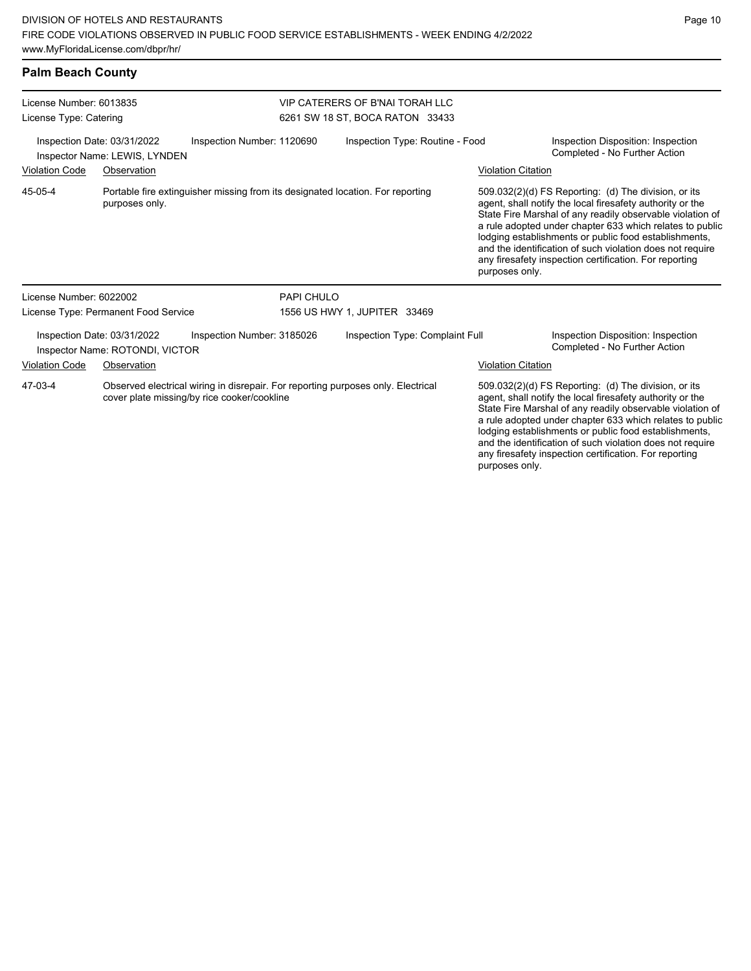and the identification of such violation does not require any firesafety inspection certification. For reporting

| <b>Palm Beach County</b>                                     |                                                                |                                                                                                                                 |                                                                    |                                                                     |                                                                                                                                                                                                                                                                                                                                                                                                                            |  |  |  |
|--------------------------------------------------------------|----------------------------------------------------------------|---------------------------------------------------------------------------------------------------------------------------------|--------------------------------------------------------------------|---------------------------------------------------------------------|----------------------------------------------------------------------------------------------------------------------------------------------------------------------------------------------------------------------------------------------------------------------------------------------------------------------------------------------------------------------------------------------------------------------------|--|--|--|
| License Number: 6013835<br>License Type: Catering            |                                                                |                                                                                                                                 | VIP CATERERS OF B'NAI TORAH LLC<br>6261 SW 18 ST, BOCA RATON 33433 |                                                                     |                                                                                                                                                                                                                                                                                                                                                                                                                            |  |  |  |
| Inspection Date: 03/31/2022<br>Inspector Name: LEWIS, LYNDEN |                                                                | Inspection Number: 1120690                                                                                                      | Inspection Type: Routine - Food                                    | Inspection Disposition: Inspection<br>Completed - No Further Action |                                                                                                                                                                                                                                                                                                                                                                                                                            |  |  |  |
| <b>Violation Code</b>                                        | Observation                                                    |                                                                                                                                 |                                                                    | <b>Violation Citation</b>                                           |                                                                                                                                                                                                                                                                                                                                                                                                                            |  |  |  |
| 45-05-4                                                      | purposes only.                                                 | Portable fire extinguisher missing from its designated location. For reporting                                                  |                                                                    | purposes only.                                                      | 509.032(2)(d) FS Reporting: (d) The division, or its<br>agent, shall notify the local firesafety authority or the<br>State Fire Marshal of any readily observable violation of<br>a rule adopted under chapter 633 which relates to public<br>lodging establishments or public food establishments,<br>and the identification of such violation does not require<br>any firesafety inspection certification. For reporting |  |  |  |
| License Number: 6022002                                      |                                                                | PAPI CHULO                                                                                                                      |                                                                    |                                                                     |                                                                                                                                                                                                                                                                                                                                                                                                                            |  |  |  |
|                                                              | License Type: Permanent Food Service                           |                                                                                                                                 | 1556 US HWY 1, JUPITER 33469                                       |                                                                     |                                                                                                                                                                                                                                                                                                                                                                                                                            |  |  |  |
|                                                              | Inspection Date: 03/31/2022<br>Inspector Name: ROTONDI, VICTOR | Inspection Number: 3185026                                                                                                      | Inspection Type: Complaint Full                                    |                                                                     | Inspection Disposition: Inspection<br>Completed - No Further Action                                                                                                                                                                                                                                                                                                                                                        |  |  |  |
| <b>Violation Code</b>                                        | Observation                                                    |                                                                                                                                 |                                                                    | <b>Violation Citation</b>                                           |                                                                                                                                                                                                                                                                                                                                                                                                                            |  |  |  |
| 47-03-4                                                      |                                                                | Observed electrical wiring in disrepair. For reporting purposes only. Electrical<br>cover plate missing/by rice cooker/cookline |                                                                    |                                                                     | 509.032(2)(d) FS Reporting: (d) The division, or its<br>agent, shall notify the local firesafety authority or the<br>State Fire Marshal of any readily observable violation of<br>a rule adopted under chapter 633 which relates to public<br>lodging establishments or public food establishments,                                                                                                                        |  |  |  |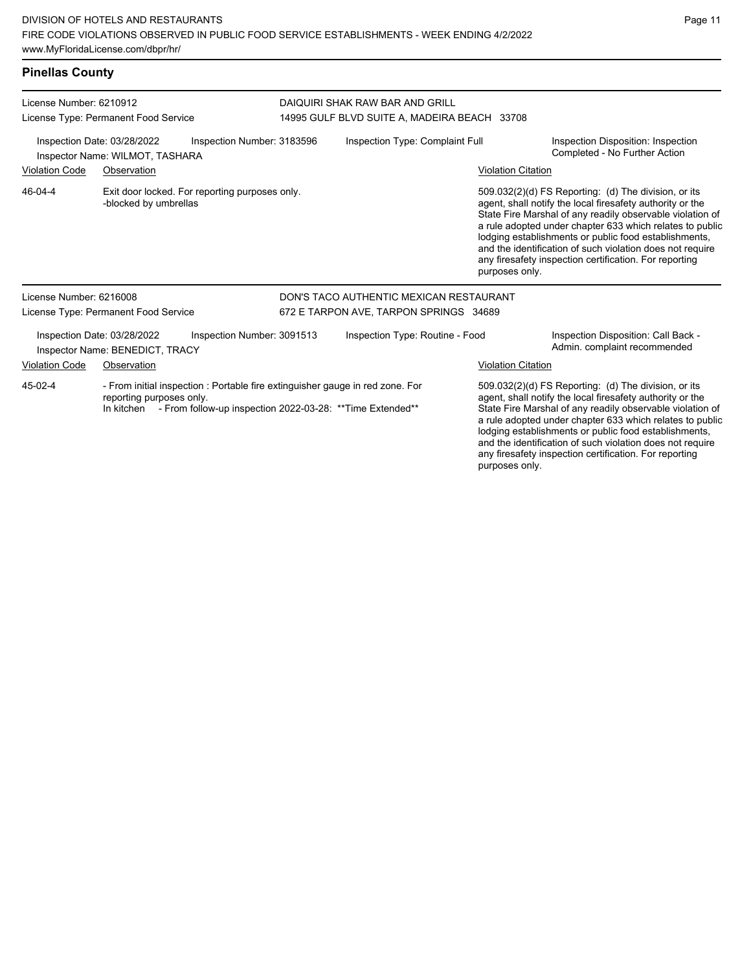# **Pinellas County**

| License Number: 6210912<br>License Type: Permanent Food Service<br>Inspection Date: 03/28/2022<br>Inspection Number: 3183596<br>Inspector Name: WILMOT, TASHARA |                                                                |                                                                                                                                             | DAIQUIRI SHAK RAW BAR AND GRILL<br>14995 GULF BLVD SUITE A, MADEIRA BEACH 33708 |                                         |                           |                                                                                                                                                                                                                                                                                                                                                                                                                            |  |
|-----------------------------------------------------------------------------------------------------------------------------------------------------------------|----------------------------------------------------------------|---------------------------------------------------------------------------------------------------------------------------------------------|---------------------------------------------------------------------------------|-----------------------------------------|---------------------------|----------------------------------------------------------------------------------------------------------------------------------------------------------------------------------------------------------------------------------------------------------------------------------------------------------------------------------------------------------------------------------------------------------------------------|--|
|                                                                                                                                                                 |                                                                |                                                                                                                                             | Inspection Type: Complaint Full                                                 |                                         |                           | Inspection Disposition: Inspection<br>Completed - No Further Action                                                                                                                                                                                                                                                                                                                                                        |  |
| <b>Violation Code</b>                                                                                                                                           | Observation                                                    |                                                                                                                                             |                                                                                 |                                         | <b>Violation Citation</b> |                                                                                                                                                                                                                                                                                                                                                                                                                            |  |
| 46-04-4                                                                                                                                                         | -blocked by umbrellas                                          | Exit door locked. For reporting purposes only.                                                                                              |                                                                                 |                                         | purposes only.            | 509.032(2)(d) FS Reporting: (d) The division, or its<br>agent, shall notify the local firesafety authority or the<br>State Fire Marshal of any readily observable violation of<br>a rule adopted under chapter 633 which relates to public<br>lodging establishments or public food establishments,<br>and the identification of such violation does not require<br>any firesafety inspection certification. For reporting |  |
| License Number: 6216008                                                                                                                                         |                                                                |                                                                                                                                             |                                                                                 | DON'S TACO AUTHENTIC MEXICAN RESTAURANT |                           |                                                                                                                                                                                                                                                                                                                                                                                                                            |  |
|                                                                                                                                                                 | License Type: Permanent Food Service                           |                                                                                                                                             |                                                                                 | 672 E TARPON AVE, TARPON SPRINGS 34689  |                           |                                                                                                                                                                                                                                                                                                                                                                                                                            |  |
|                                                                                                                                                                 | Inspection Date: 03/28/2022<br>Inspector Name: BENEDICT, TRACY | Inspection Number: 3091513                                                                                                                  |                                                                                 | Inspection Type: Routine - Food         |                           | Inspection Disposition: Call Back -<br>Admin. complaint recommended                                                                                                                                                                                                                                                                                                                                                        |  |
| <b>Violation Code</b>                                                                                                                                           | Observation                                                    |                                                                                                                                             |                                                                                 |                                         | <b>Violation Citation</b> |                                                                                                                                                                                                                                                                                                                                                                                                                            |  |
| 45-02-4                                                                                                                                                         | reporting purposes only.<br>In kitchen                         | - From initial inspection : Portable fire extinguisher gauge in red zone. For<br>- From follow-up inspection 2022-03-28: ** Time Extended** |                                                                                 |                                         |                           | 509.032(2)(d) FS Reporting: (d) The division, or its<br>agent, shall notify the local firesafety authority or the<br>State Fire Marshal of any readily observable violation of<br>a rule adopted under chapter 633 which relates to public                                                                                                                                                                                 |  |

lodging establishments or public food establishments, and the identification of such violation does not require any firesafety inspection certification. For reporting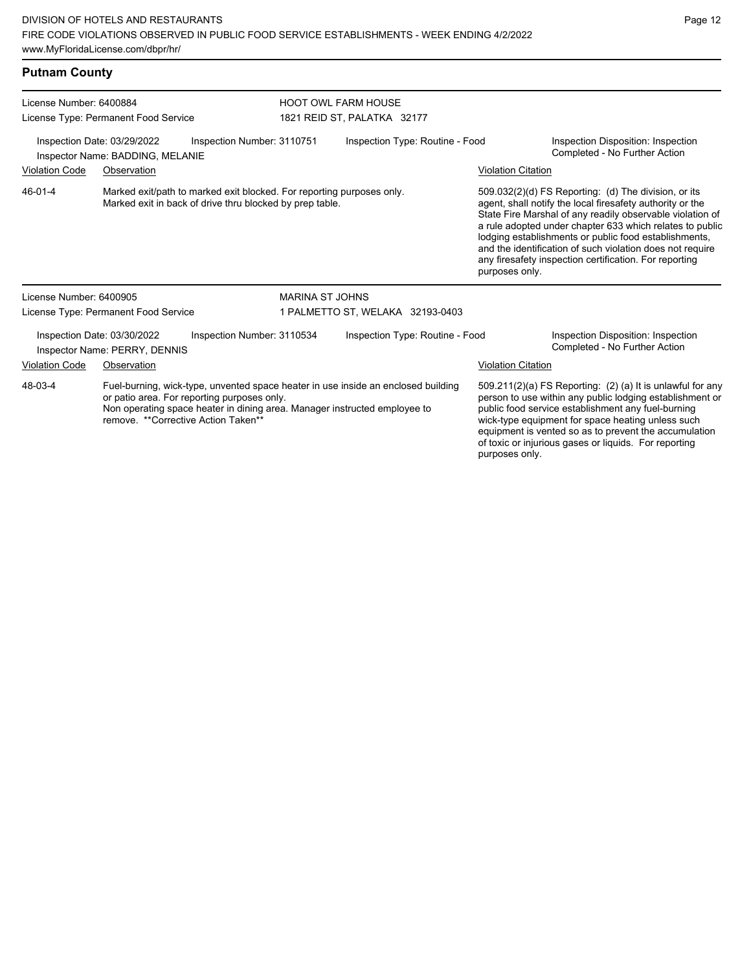| <b>Putnam County</b>                                                                                                                         |                                                              |                            |                                  |                                                                                   |                                                                     |                                                                                                                                                                                                                                                                                                                                                                                                                                              |
|----------------------------------------------------------------------------------------------------------------------------------------------|--------------------------------------------------------------|----------------------------|----------------------------------|-----------------------------------------------------------------------------------|---------------------------------------------------------------------|----------------------------------------------------------------------------------------------------------------------------------------------------------------------------------------------------------------------------------------------------------------------------------------------------------------------------------------------------------------------------------------------------------------------------------------------|
| License Number: 6400884                                                                                                                      |                                                              | <b>HOOT OWL FARM HOUSE</b> |                                  |                                                                                   |                                                                     |                                                                                                                                                                                                                                                                                                                                                                                                                                              |
|                                                                                                                                              | License Type: Permanent Food Service                         |                            |                                  | 1821 REID ST, PALATKA 32177                                                       |                                                                     |                                                                                                                                                                                                                                                                                                                                                                                                                                              |
| Inspection Date: 03/29/2022<br>Inspection Number: 3110751<br>Inspector Name: BADDING, MELANIE                                                |                                                              |                            | Inspection Type: Routine - Food  |                                                                                   | Inspection Disposition: Inspection<br>Completed - No Further Action |                                                                                                                                                                                                                                                                                                                                                                                                                                              |
| <b>Violation Code</b><br>Observation                                                                                                         |                                                              |                            |                                  |                                                                                   |                                                                     | <b>Violation Citation</b>                                                                                                                                                                                                                                                                                                                                                                                                                    |
| 46-01-4<br>Marked exit/path to marked exit blocked. For reporting purposes only.<br>Marked exit in back of drive thru blocked by prep table. |                                                              |                            |                                  |                                                                                   |                                                                     | 509.032(2)(d) FS Reporting: (d) The division, or its<br>agent, shall notify the local firesafety authority or the<br>State Fire Marshal of any readily observable violation of<br>a rule adopted under chapter 633 which relates to public<br>lodging establishments or public food establishments,<br>and the identification of such violation does not require<br>any firesafety inspection certification. For reporting<br>purposes only. |
| License Number: 6400905                                                                                                                      |                                                              |                            | <b>MARINA ST JOHNS</b>           |                                                                                   |                                                                     |                                                                                                                                                                                                                                                                                                                                                                                                                                              |
| License Type: Permanent Food Service                                                                                                         |                                                              |                            | 1 PALMETTO ST, WELAKA 32193-0403 |                                                                                   |                                                                     |                                                                                                                                                                                                                                                                                                                                                                                                                                              |
|                                                                                                                                              | Inspection Date: 03/30/2022<br>Inspector Name: PERRY, DENNIS | Inspection Number: 3110534 |                                  | Inspection Type: Routine - Food                                                   |                                                                     | Inspection Disposition: Inspection<br>Completed - No Further Action                                                                                                                                                                                                                                                                                                                                                                          |
| <u> Violation Co</u> de                                                                                                                      | Observation                                                  |                            |                                  |                                                                                   |                                                                     | <b>Violation Citation</b>                                                                                                                                                                                                                                                                                                                                                                                                                    |
| 48-03-4                                                                                                                                      |                                                              |                            |                                  | Fuel-burning, wick-type, unvented space heater in use inside an enclosed building |                                                                     | 509.211(2)(a) FS Reporting: (2) (a) It is unlawful for any                                                                                                                                                                                                                                                                                                                                                                                   |

or patio area. For reporting purposes only. Non operating space heater in dining area. Manager instructed employee to remove. \*\*Corrective Action Taken\*\*

509.211(2)(a) FS Reporting: (2) (a) It is unlawful for any person to use within any public lodging establishment or public food service establishment any fuel-burning wick-type equipment for space heating unless such equipment is vented so as to prevent the accumulation of toxic or injurious gases or liquids. For reporting purposes only.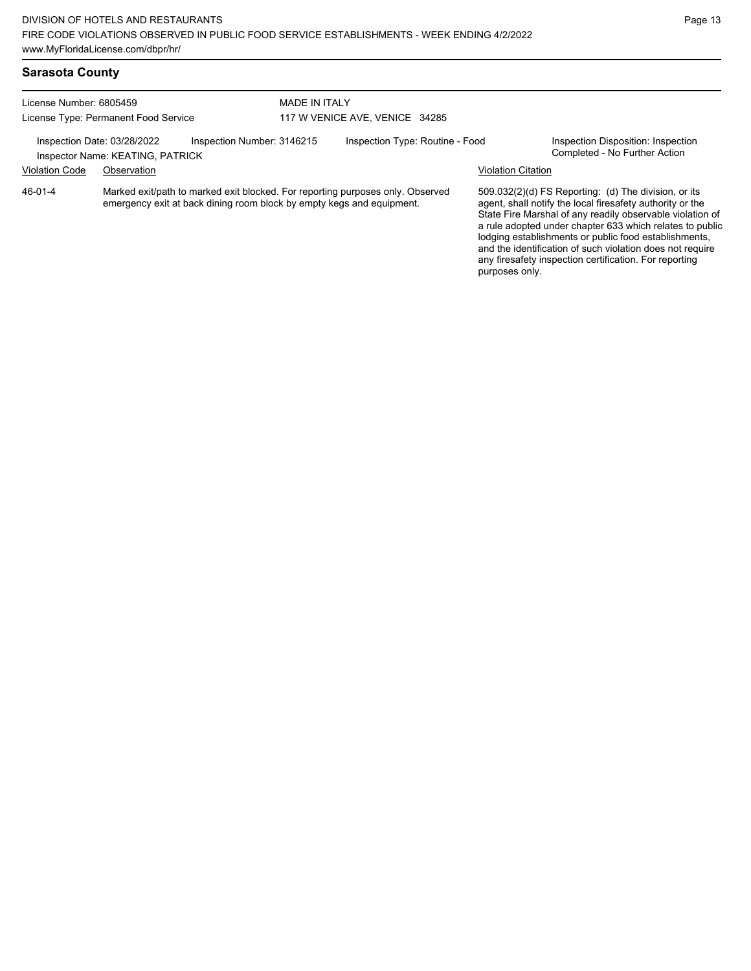any firesafety inspection certification. For reporting

purposes only.

# **Sarasota County**

| License Number: 6805459<br>License Type: Permanent Food Service                               |             | MADE IN ITALY                                                         | 117 W VENICE AVE, VENICE 34285  |                                                                                |                                                                     |                                                                                                                                                                                                                                                                                                                                                                  |
|-----------------------------------------------------------------------------------------------|-------------|-----------------------------------------------------------------------|---------------------------------|--------------------------------------------------------------------------------|---------------------------------------------------------------------|------------------------------------------------------------------------------------------------------------------------------------------------------------------------------------------------------------------------------------------------------------------------------------------------------------------------------------------------------------------|
| Inspection Number: 3146215<br>Inspection Date: 03/28/2022<br>Inspector Name: KEATING, PATRICK |             |                                                                       | Inspection Type: Routine - Food |                                                                                | Inspection Disposition: Inspection<br>Completed - No Further Action |                                                                                                                                                                                                                                                                                                                                                                  |
| <b>Violation Code</b>                                                                         | Observation |                                                                       |                                 |                                                                                | <b>Violation Citation</b>                                           |                                                                                                                                                                                                                                                                                                                                                                  |
| 46-01-4                                                                                       |             | emergency exit at back dining room block by empty kegs and equipment. |                                 | Marked exit/path to marked exit blocked. For reporting purposes only. Observed |                                                                     | 509.032(2)(d) FS Reporting: (d) The division, or its<br>agent, shall notify the local firesafety authority or the<br>State Fire Marshal of any readily observable violation of<br>a rule adopted under chapter 633 which relates to public<br>lodging establishments or public food establishments,<br>and the identification of such violation does not require |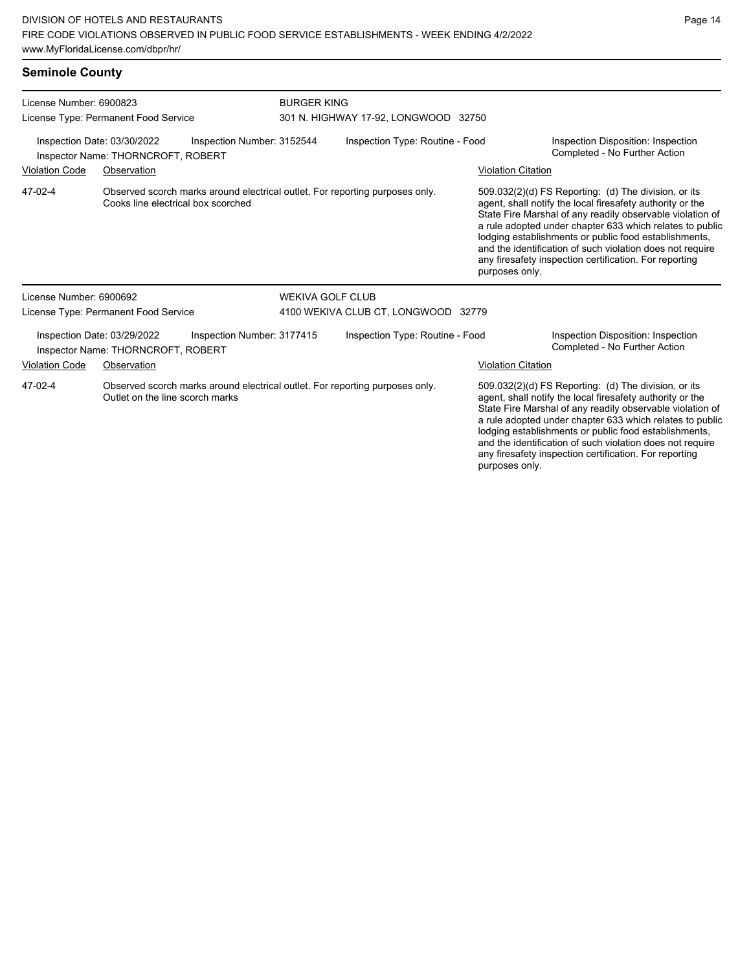#### **Seminole County**

| License Number: 6900823<br>License Type: Permanent Food Service<br>Inspection Date: 03/30/2022<br>Inspection Number: 3152544<br>Inspector Name: THORNCROFT, ROBERT |                                                                   |                            | <b>BURGER KING</b><br>301 N. HIGHWAY 17-92, LONGWOOD 32750 |                                                                              |                                                                     |                                                                                                                                                                                                                                                                                                                                                                                                                            |  |
|--------------------------------------------------------------------------------------------------------------------------------------------------------------------|-------------------------------------------------------------------|----------------------------|------------------------------------------------------------|------------------------------------------------------------------------------|---------------------------------------------------------------------|----------------------------------------------------------------------------------------------------------------------------------------------------------------------------------------------------------------------------------------------------------------------------------------------------------------------------------------------------------------------------------------------------------------------------|--|
|                                                                                                                                                                    |                                                                   |                            | Inspection Type: Routine - Food                            |                                                                              | Inspection Disposition: Inspection<br>Completed - No Further Action |                                                                                                                                                                                                                                                                                                                                                                                                                            |  |
| <b>Violation Code</b>                                                                                                                                              | Observation                                                       |                            |                                                            |                                                                              | <b>Violation Citation</b>                                           |                                                                                                                                                                                                                                                                                                                                                                                                                            |  |
| 47-02-4                                                                                                                                                            | Cooks line electrical box scorched                                |                            |                                                            | Observed scorch marks around electrical outlet. For reporting purposes only. | purposes only.                                                      | 509.032(2)(d) FS Reporting: (d) The division, or its<br>agent, shall notify the local firesafety authority or the<br>State Fire Marshal of any readily observable violation of<br>a rule adopted under chapter 633 which relates to public<br>lodging establishments or public food establishments,<br>and the identification of such violation does not require<br>any firesafety inspection certification. For reporting |  |
| License Number: 6900692                                                                                                                                            |                                                                   |                            | <b>WEKIVA GOLF CLUB</b>                                    |                                                                              |                                                                     |                                                                                                                                                                                                                                                                                                                                                                                                                            |  |
|                                                                                                                                                                    | License Type: Permanent Food Service                              |                            |                                                            | 4100 WEKIVA CLUB CT, LONGWOOD 32779                                          |                                                                     |                                                                                                                                                                                                                                                                                                                                                                                                                            |  |
|                                                                                                                                                                    | Inspection Date: 03/29/2022<br>Inspector Name: THORNCROFT, ROBERT | Inspection Number: 3177415 |                                                            | Inspection Type: Routine - Food                                              |                                                                     | Inspection Disposition: Inspection<br>Completed - No Further Action                                                                                                                                                                                                                                                                                                                                                        |  |
| <b>Violation Code</b>                                                                                                                                              | Observation                                                       |                            |                                                            |                                                                              | <b>Violation Citation</b>                                           |                                                                                                                                                                                                                                                                                                                                                                                                                            |  |
| 47-02-4                                                                                                                                                            | Outlet on the line scorch marks                                   |                            |                                                            | Observed scorch marks around electrical outlet. For reporting purposes only. |                                                                     | 509.032(2)(d) FS Reporting: (d) The division, or its<br>agent, shall notify the local firesafety authority or the<br>State Fire Marshal of any readily observable violation of<br>a rule adopted under chapter 633 which relates to public<br>lodging establishments or public food establishments,                                                                                                                        |  |

and the identification of such violation does not require any firesafety inspection certification. For reporting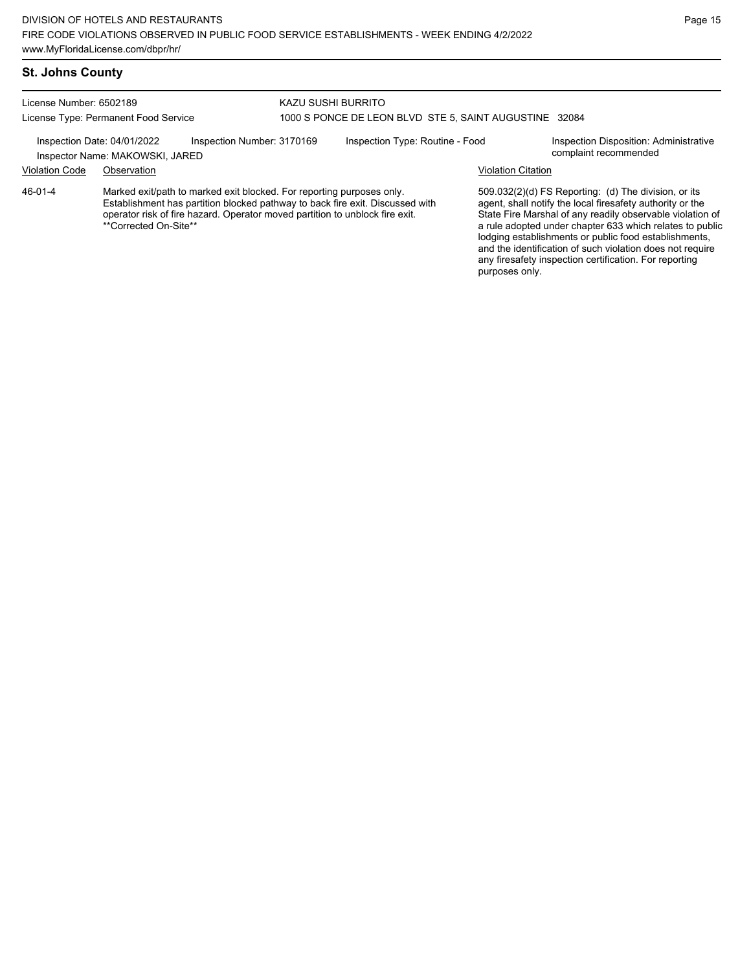#### License Number: 6502189 License Type: Permanent Food Service KAZU SUSHI BURRITO 1000 S PONCE DE LEON BLVD STE 5, SAINT AUGUSTINE 32084 Inspection Date: 04/01/2022 Inspection Number: 3170169 Inspection Type: Routine - Food Inspection Disposition: Administrative<br>Inspector Name: MAKOWSKL JARED Inspector Name: MAKOWSKI, JARED Violation Code Observation Violation Citation Marked exit/path to marked exit blocked. For reporting purposes only. Establishment has partition blocked pathway to back fire exit. Discussed with operator risk of fire hazard. Operator moved partition to unblock fire exit. \*\*Corrected On-Site\*\* 509.032(2)(d) FS Reporting: (d) The division, or its agent, shall notify the local firesafety authority or the State Fire Marshal of any readily observable violation of a rule adopted under chapter 633 which relates to public lodging establishments or public food establishments, and the identification of such violation does not require any firesafety inspection certification. For reporting 46-01-4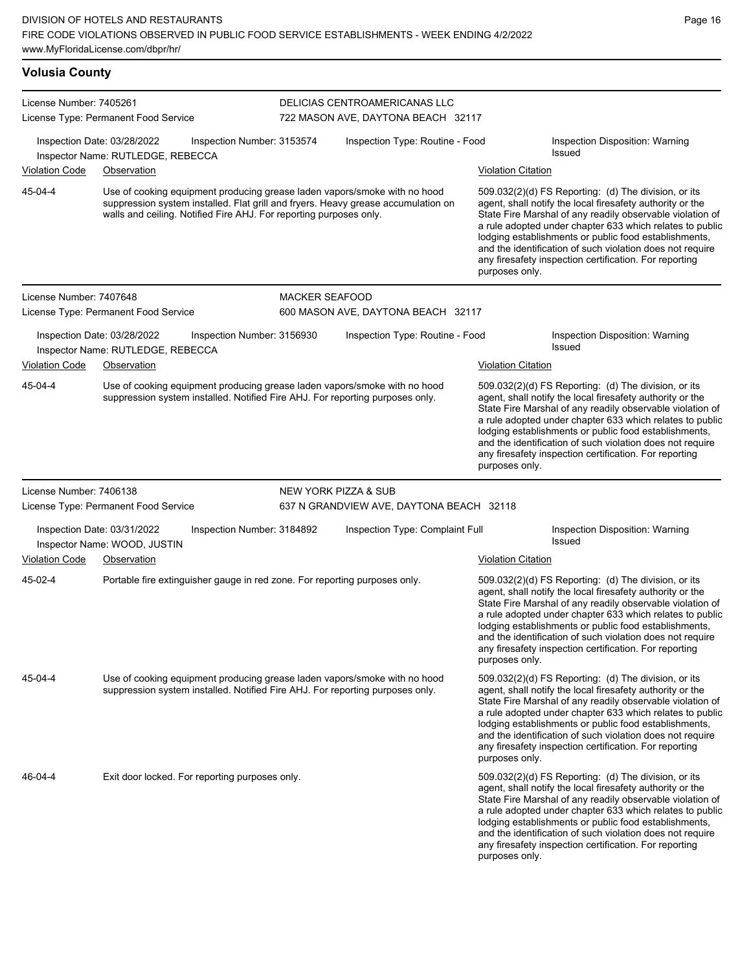| <b>Volusia County</b>                                            |                                                                                                                                                                                                                                                                                                                                                                                                                                                                                                                                                                                                            |                                                                            |                                                                                                                                                                                                                                      |                                                                                                                                                            |                                             |                                                                                                                                                                                                                                                                                                                                                                                                                            |  |  |
|------------------------------------------------------------------|------------------------------------------------------------------------------------------------------------------------------------------------------------------------------------------------------------------------------------------------------------------------------------------------------------------------------------------------------------------------------------------------------------------------------------------------------------------------------------------------------------------------------------------------------------------------------------------------------------|----------------------------------------------------------------------------|--------------------------------------------------------------------------------------------------------------------------------------------------------------------------------------------------------------------------------------|------------------------------------------------------------------------------------------------------------------------------------------------------------|---------------------------------------------|----------------------------------------------------------------------------------------------------------------------------------------------------------------------------------------------------------------------------------------------------------------------------------------------------------------------------------------------------------------------------------------------------------------------------|--|--|
| License Number: 7405261                                          | License Type: Permanent Food Service                                                                                                                                                                                                                                                                                                                                                                                                                                                                                                                                                                       |                                                                            | DELICIAS CENTROAMERICANAS LLC<br>722 MASON AVE, DAYTONA BEACH 32117                                                                                                                                                                  |                                                                                                                                                            |                                             |                                                                                                                                                                                                                                                                                                                                                                                                                            |  |  |
| Inspection Date: 03/28/2022<br>Inspector Name: RUTLEDGE, REBECCA |                                                                                                                                                                                                                                                                                                                                                                                                                                                                                                                                                                                                            | Inspection Number: 3153574                                                 | Inspection Type: Routine - Food                                                                                                                                                                                                      |                                                                                                                                                            |                                             | Inspection Disposition: Warning<br>Issued                                                                                                                                                                                                                                                                                                                                                                                  |  |  |
| <b>Violation Code</b>                                            | Observation                                                                                                                                                                                                                                                                                                                                                                                                                                                                                                                                                                                                |                                                                            |                                                                                                                                                                                                                                      |                                                                                                                                                            | <b>Violation Citation</b>                   |                                                                                                                                                                                                                                                                                                                                                                                                                            |  |  |
| 45-04-4                                                          |                                                                                                                                                                                                                                                                                                                                                                                                                                                                                                                                                                                                            |                                                                            | Use of cooking equipment producing grease laden vapors/smoke with no hood<br>suppression system installed. Flat grill and fryers. Heavy grease accumulation on<br>walls and ceiling. Notified Fire AHJ. For reporting purposes only. |                                                                                                                                                            | purposes only.                              | 509.032(2)(d) FS Reporting: (d) The division, or its<br>agent, shall notify the local firesafety authority or the<br>State Fire Marshal of any readily observable violation of<br>a rule adopted under chapter 633 which relates to public<br>lodging establishments or public food establishments,<br>and the identification of such violation does not require<br>any firesafety inspection certification. For reporting |  |  |
| License Number: 7407648                                          |                                                                                                                                                                                                                                                                                                                                                                                                                                                                                                                                                                                                            |                                                                            | <b>MACKER SEAFOOD</b>                                                                                                                                                                                                                |                                                                                                                                                            |                                             |                                                                                                                                                                                                                                                                                                                                                                                                                            |  |  |
|                                                                  | License Type: Permanent Food Service                                                                                                                                                                                                                                                                                                                                                                                                                                                                                                                                                                       |                                                                            |                                                                                                                                                                                                                                      | 600 MASON AVE, DAYTONA BEACH 32117                                                                                                                         |                                             |                                                                                                                                                                                                                                                                                                                                                                                                                            |  |  |
|                                                                  | Inspection Date: 03/28/2022<br>Inspector Name: RUTLEDGE, REBECCA                                                                                                                                                                                                                                                                                                                                                                                                                                                                                                                                           | Inspection Number: 3156930                                                 |                                                                                                                                                                                                                                      | Inspection Type: Routine - Food                                                                                                                            |                                             | Inspection Disposition: Warning<br>Issued                                                                                                                                                                                                                                                                                                                                                                                  |  |  |
| <b>Violation Code</b>                                            | Observation                                                                                                                                                                                                                                                                                                                                                                                                                                                                                                                                                                                                |                                                                            |                                                                                                                                                                                                                                      |                                                                                                                                                            | <b>Violation Citation</b>                   |                                                                                                                                                                                                                                                                                                                                                                                                                            |  |  |
| 45-04-4                                                          | Use of cooking equipment producing grease laden vapors/smoke with no hood<br>509.032(2)(d) FS Reporting: (d) The division, or its<br>agent, shall notify the local firesafety authority or the<br>suppression system installed. Notified Fire AHJ. For reporting purposes only.<br>State Fire Marshal of any readily observable violation of<br>a rule adopted under chapter 633 which relates to public<br>lodging establishments or public food establishments,<br>and the identification of such violation does not require<br>any firesafety inspection certification. For reporting<br>purposes only. |                                                                            |                                                                                                                                                                                                                                      |                                                                                                                                                            |                                             |                                                                                                                                                                                                                                                                                                                                                                                                                            |  |  |
| License Number: 7406138                                          |                                                                                                                                                                                                                                                                                                                                                                                                                                                                                                                                                                                                            |                                                                            |                                                                                                                                                                                                                                      | NEW YORK PIZZA & SUB                                                                                                                                       |                                             |                                                                                                                                                                                                                                                                                                                                                                                                                            |  |  |
|                                                                  | License Type: Permanent Food Service                                                                                                                                                                                                                                                                                                                                                                                                                                                                                                                                                                       |                                                                            |                                                                                                                                                                                                                                      | 637 N GRANDVIEW AVE, DAYTONA BEACH 32118                                                                                                                   |                                             |                                                                                                                                                                                                                                                                                                                                                                                                                            |  |  |
|                                                                  | Inspection Date: 03/31/2022<br>Inspector Name: WOOD, JUSTIN                                                                                                                                                                                                                                                                                                                                                                                                                                                                                                                                                | Inspection Number: 3184892                                                 |                                                                                                                                                                                                                                      | Inspection Type: Complaint Full                                                                                                                            |                                             | Inspection Disposition: Warning<br>Issued                                                                                                                                                                                                                                                                                                                                                                                  |  |  |
| <b>Violation Code</b><br>$45-02-4$                               | Observation                                                                                                                                                                                                                                                                                                                                                                                                                                                                                                                                                                                                | Portable fire extinguisher gauge in red zone. For reporting purposes only. |                                                                                                                                                                                                                                      |                                                                                                                                                            | <b>Violation Citation</b><br>purposes only. | 509.032(2)(d) FS Reporting: (d) The division, or its<br>agent, shall notify the local firesafety authority or the<br>State Fire Marshal of any readily observable violation of<br>a rule adopted under chapter 633 which relates to public<br>lodging establishments or public food establishments,<br>and the identification of such violation does not require<br>any firesafety inspection certification. For reporting |  |  |
| 45-04-4                                                          |                                                                                                                                                                                                                                                                                                                                                                                                                                                                                                                                                                                                            |                                                                            |                                                                                                                                                                                                                                      | Use of cooking equipment producing grease laden vapors/smoke with no hood<br>suppression system installed. Notified Fire AHJ. For reporting purposes only. | purposes only.                              | 509.032(2)(d) FS Reporting: (d) The division, or its<br>agent, shall notify the local firesafety authority or the<br>State Fire Marshal of any readily observable violation of<br>a rule adopted under chapter 633 which relates to public<br>lodging establishments or public food establishments,<br>and the identification of such violation does not require<br>any firesafety inspection certification. For reporting |  |  |
| 46-04-4                                                          |                                                                                                                                                                                                                                                                                                                                                                                                                                                                                                                                                                                                            | Exit door locked. For reporting purposes only.                             |                                                                                                                                                                                                                                      |                                                                                                                                                            | purposes only.                              | 509.032(2)(d) FS Reporting: (d) The division, or its<br>agent, shall notify the local firesafety authority or the<br>State Fire Marshal of any readily observable violation of<br>a rule adopted under chapter 633 which relates to public<br>lodging establishments or public food establishments,<br>and the identification of such violation does not require<br>any firesafety inspection certification. For reporting |  |  |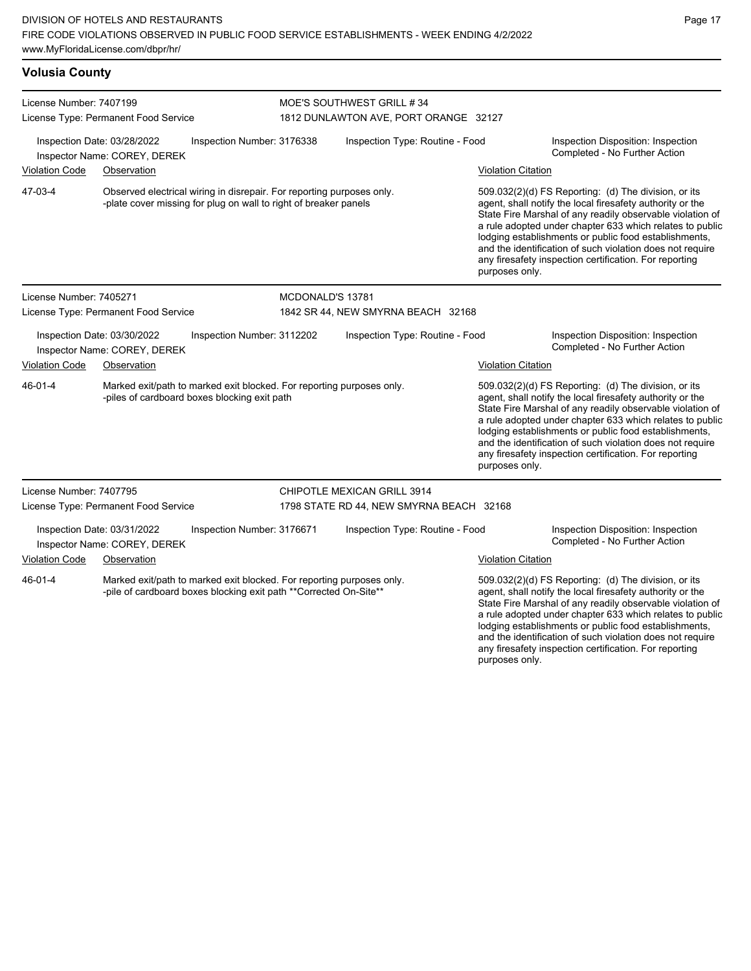**Volusia County**

| License Number: 7407199                                                                                                                                |                                                             |                                                                                                                       | MOE'S SOUTHWEST GRILL #34                                                                                                                 |                                          |                                                                     |                                                                                                                                                                                                                                                                                                                                                                                                                                              |  |  |
|--------------------------------------------------------------------------------------------------------------------------------------------------------|-------------------------------------------------------------|-----------------------------------------------------------------------------------------------------------------------|-------------------------------------------------------------------------------------------------------------------------------------------|------------------------------------------|---------------------------------------------------------------------|----------------------------------------------------------------------------------------------------------------------------------------------------------------------------------------------------------------------------------------------------------------------------------------------------------------------------------------------------------------------------------------------------------------------------------------------|--|--|
| License Type: Permanent Food Service<br>Inspection Number: 3176338<br>Inspection Date: 03/28/2022<br>Inspector Name: COREY, DEREK                      |                                                             |                                                                                                                       | 1812 DUNLAWTON AVE, PORT ORANGE 32127                                                                                                     |                                          |                                                                     |                                                                                                                                                                                                                                                                                                                                                                                                                                              |  |  |
|                                                                                                                                                        |                                                             |                                                                                                                       |                                                                                                                                           | Inspection Type: Routine - Food          |                                                                     | Inspection Disposition: Inspection<br>Completed - No Further Action                                                                                                                                                                                                                                                                                                                                                                          |  |  |
| <b>Violation Code</b><br>Observation                                                                                                                   |                                                             |                                                                                                                       |                                                                                                                                           |                                          | <b>Violation Citation</b>                                           |                                                                                                                                                                                                                                                                                                                                                                                                                                              |  |  |
| 47-03-4                                                                                                                                                |                                                             |                                                                                                                       | Observed electrical wiring in disrepair. For reporting purposes only.<br>-plate cover missing for plug on wall to right of breaker panels |                                          |                                                                     | 509.032(2)(d) FS Reporting: (d) The division, or its<br>agent, shall notify the local firesafety authority or the<br>State Fire Marshal of any readily observable violation of<br>a rule adopted under chapter 633 which relates to public<br>lodging establishments or public food establishments,<br>and the identification of such violation does not require<br>any firesafety inspection certification. For reporting<br>purposes only. |  |  |
| License Number: 7405271                                                                                                                                |                                                             |                                                                                                                       | MCDONALD'S 13781                                                                                                                          |                                          |                                                                     |                                                                                                                                                                                                                                                                                                                                                                                                                                              |  |  |
| License Type: Permanent Food Service                                                                                                                   |                                                             | 1842 SR 44, NEW SMYRNA BEACH 32168                                                                                    |                                                                                                                                           |                                          |                                                                     |                                                                                                                                                                                                                                                                                                                                                                                                                                              |  |  |
| Inspection Date: 03/30/2022<br>Inspection Number: 3112202<br>Inspector Name: COREY, DEREK                                                              |                                                             |                                                                                                                       | Inspection Type: Routine - Food                                                                                                           |                                          | Inspection Disposition: Inspection<br>Completed - No Further Action |                                                                                                                                                                                                                                                                                                                                                                                                                                              |  |  |
| <b>Violation Code</b>                                                                                                                                  | Observation                                                 |                                                                                                                       |                                                                                                                                           |                                          | <b>Violation Citation</b>                                           |                                                                                                                                                                                                                                                                                                                                                                                                                                              |  |  |
| 46-01-4                                                                                                                                                |                                                             | Marked exit/path to marked exit blocked. For reporting purposes only.<br>-piles of cardboard boxes blocking exit path |                                                                                                                                           |                                          | purposes only.                                                      | 509.032(2)(d) FS Reporting: (d) The division, or its<br>agent, shall notify the local firesafety authority or the<br>State Fire Marshal of any readily observable violation of<br>a rule adopted under chapter 633 which relates to public<br>lodging establishments or public food establishments,<br>and the identification of such violation does not require<br>any firesafety inspection certification. For reporting                   |  |  |
| License Number: 7407795                                                                                                                                |                                                             |                                                                                                                       |                                                                                                                                           | <b>CHIPOTLE MEXICAN GRILL 3914</b>       |                                                                     |                                                                                                                                                                                                                                                                                                                                                                                                                                              |  |  |
|                                                                                                                                                        | License Type: Permanent Food Service                        |                                                                                                                       |                                                                                                                                           | 1798 STATE RD 44, NEW SMYRNA BEACH 32168 |                                                                     |                                                                                                                                                                                                                                                                                                                                                                                                                                              |  |  |
|                                                                                                                                                        | Inspection Date: 03/31/2022<br>Inspector Name: COREY, DEREK | Inspection Number: 3176671                                                                                            |                                                                                                                                           | Inspection Type: Routine - Food          |                                                                     | Inspection Disposition: Inspection<br>Completed - No Further Action                                                                                                                                                                                                                                                                                                                                                                          |  |  |
| <b>Violation Code</b>                                                                                                                                  | Observation                                                 |                                                                                                                       |                                                                                                                                           |                                          | <b>Violation Citation</b>                                           |                                                                                                                                                                                                                                                                                                                                                                                                                                              |  |  |
| 46-01-4<br>Marked exit/path to marked exit blocked. For reporting purposes only.<br>-pile of cardboard boxes blocking exit path ** Corrected On-Site** |                                                             |                                                                                                                       |                                                                                                                                           |                                          |                                                                     | 509.032(2)(d) FS Reporting: (d) The division, or its<br>agent, shall notify the local firesafety authority or the<br>State Fire Marshal of any readily observable violation of                                                                                                                                                                                                                                                               |  |  |

a rule adopted under chapter 633 which relates to public lodging establishments or public food establishments, and the identification of such violation does not require any firesafety inspection certification. For reporting